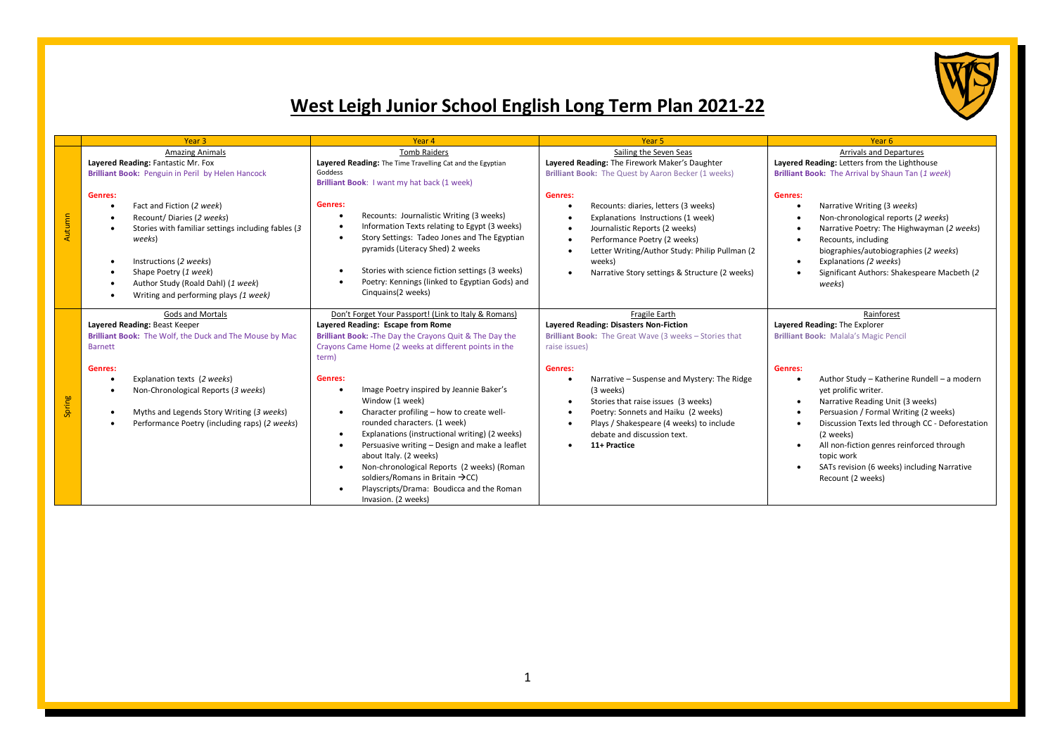

## **West Leigh Junior School English Long Term Plan 2021-22**

|        | Year <sub>3</sub>                                                                                                                                                                                                                                                                                                          | Year 4                                                                                                                                                                                                                                                                                                                                                                                                                                                                                                                                                                                                                                                                                                                                     | Year <sub>5</sub>                                                                                                                                                                                                                                                                                                                                                                                                              | Year <sub>6</sub>                                                                                                                                                                                                                                                                                                                                                                                                                                         |
|--------|----------------------------------------------------------------------------------------------------------------------------------------------------------------------------------------------------------------------------------------------------------------------------------------------------------------------------|--------------------------------------------------------------------------------------------------------------------------------------------------------------------------------------------------------------------------------------------------------------------------------------------------------------------------------------------------------------------------------------------------------------------------------------------------------------------------------------------------------------------------------------------------------------------------------------------------------------------------------------------------------------------------------------------------------------------------------------------|--------------------------------------------------------------------------------------------------------------------------------------------------------------------------------------------------------------------------------------------------------------------------------------------------------------------------------------------------------------------------------------------------------------------------------|-----------------------------------------------------------------------------------------------------------------------------------------------------------------------------------------------------------------------------------------------------------------------------------------------------------------------------------------------------------------------------------------------------------------------------------------------------------|
|        | <b>Amazing Animals</b>                                                                                                                                                                                                                                                                                                     | <b>Tomb Raiders</b>                                                                                                                                                                                                                                                                                                                                                                                                                                                                                                                                                                                                                                                                                                                        | Sailing the Seven Seas                                                                                                                                                                                                                                                                                                                                                                                                         | <b>Arrivals and Departures</b>                                                                                                                                                                                                                                                                                                                                                                                                                            |
|        | Layered Reading: Fantastic Mr. Fox<br>Layered Reading: The Time Travelling Cat and the Egyptian<br>Brilliant Book: Penguin in Peril by Helen Hancock<br>Goddess<br>Brilliant Book: I want my hat back (1 week)                                                                                                             |                                                                                                                                                                                                                                                                                                                                                                                                                                                                                                                                                                                                                                                                                                                                            | Layered Reading: The Firework Maker's Daughter<br>Brilliant Book: The Quest by Aaron Becker (1 weeks)                                                                                                                                                                                                                                                                                                                          | Layered Reading: Letters from the Lighthouse<br>Brilliant Book: The Arrival by Shaun Tan (1 week)                                                                                                                                                                                                                                                                                                                                                         |
| Autumn | Genres:<br>Fact and Fiction (2 week)<br>$\bullet$<br>Recount/Diaries (2 weeks)<br>$\bullet$<br>Stories with familiar settings including fables (3)<br>$\bullet$<br>weeks)<br>Instructions (2 weeks)<br>Shape Poetry (1 week)<br>Author Study (Roald Dahl) (1 week)<br>Writing and performing plays (1 week)                | Genres:<br>Recounts: Journalistic Writing (3 weeks)<br>٠<br>Information Texts relating to Egypt (3 weeks)<br>٠<br>Story Settings: Tadeo Jones and The Egyptian<br>$\bullet$<br>pyramids (Literacy Shed) 2 weeks<br>Stories with science fiction settings (3 weeks)<br>$\bullet$<br>Poetry: Kennings (linked to Egyptian Gods) and<br>٠<br>Cinquains(2 weeks)                                                                                                                                                                                                                                                                                                                                                                               | Genres:<br>Recounts: diaries, letters (3 weeks)<br>٠<br>Explanations Instructions (1 week)<br>Journalistic Reports (2 weeks)<br>٠<br>Performance Poetry (2 weeks)<br>$\bullet$<br>Letter Writing/Author Study: Philip Pullman (2<br>weeks)<br>Narrative Story settings & Structure (2 weeks)                                                                                                                                   | Genres:<br>Narrative Writing (3 weeks)<br>Non-chronological reports (2 weeks)<br>Narrative Poetry: The Highwayman (2 weeks)<br>Recounts, including<br>biographies/autobiographies (2 weeks)<br>Explanations (2 weeks)<br>Significant Authors: Shakespeare Macbeth (2)<br>weeks)                                                                                                                                                                           |
| Spring | Gods and Mortals<br>Layered Reading: Beast Keeper<br>Brilliant Book: The Wolf, the Duck and The Mouse by Mac<br><b>Barnett</b><br>Genres:<br>Explanation texts (2 weeks)<br>$\bullet$<br>Non-Chronological Reports (3 weeks)<br>Myths and Legends Story Writing (3 weeks)<br>Performance Poetry (including raps) (2 weeks) | Don't Forget Your Passport! (Link to Italy & Romans)<br>Layered Reading: Escape from Rome<br>Brilliant Book: The Day the Crayons Quit & The Day the<br>Crayons Came Home (2 weeks at different points in the<br>term)<br>Genres:<br>Image Poetry inspired by Jeannie Baker's<br>٠<br>Window (1 week)<br>Character profiling - how to create well-<br>٠<br>rounded characters. (1 week)<br>Explanations (instructional writing) (2 weeks)<br>$\bullet$<br>Persuasive writing - Design and make a leaflet<br>$\bullet$<br>about Italy. (2 weeks)<br>Non-chronological Reports (2 weeks) (Roman<br>$\bullet$<br>soldiers/Romans in Britain $\rightarrow$ CC)<br>Playscripts/Drama: Boudicca and the Roman<br>$\bullet$<br>Invasion. (2 weeks) | Fragile Earth<br>Layered Reading: Disasters Non-Fiction<br>Brilliant Book: The Great Wave (3 weeks - Stories that<br>raise issues)<br>Genres:<br>Narrative – Suspense and Mystery: The Ridge<br>(3 weeks)<br>Stories that raise issues (3 weeks)<br>$\bullet$<br>Poetry: Sonnets and Haiku (2 weeks)<br>$\bullet$<br>Plays / Shakespeare (4 weeks) to include<br>٠<br>debate and discussion text.<br>11+ Practice<br>$\bullet$ | Rainforest<br>Layered Reading: The Explorer<br><b>Brilliant Book: Malala's Magic Pencil</b><br>Genres:<br>Author Study - Katherine Rundell - a modern<br>yet prolific writer.<br>Narrative Reading Unit (3 weeks)<br>Persuasion / Formal Writing (2 weeks)<br>Discussion Texts led through CC - Deforestation<br>(2 weeks)<br>All non-fiction genres reinforced through<br>topic work<br>SATs revision (6 weeks) including Narrative<br>Recount (2 weeks) |